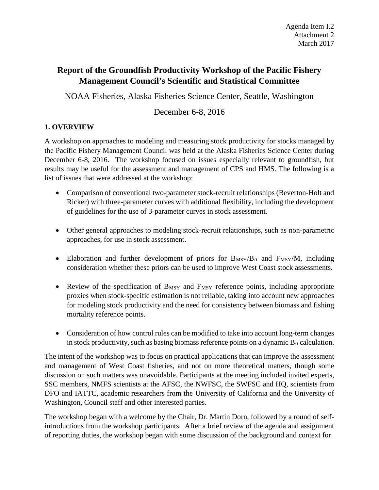# **Report of the Groundfish Productivity Workshop of the Pacific Fishery Management Council's Scientific and Statistical Committee**

NOAA Fisheries, Alaska Fisheries Science Center, Seattle, Washington

# December 6-8, 2016

# **1. OVERVIEW**

A workshop on approaches to modeling and measuring stock productivity for stocks managed by the Pacific Fishery Management Council was held at the Alaska Fisheries Science Center during December 6-8, 2016. The workshop focused on issues especially relevant to groundfish, but results may be useful for the assessment and management of CPS and HMS. The following is a list of issues that were addressed at the workshop:

- Comparison of conventional two-parameter stock-recruit relationships (Beverton-Holt and Ricker) with three-parameter curves with additional flexibility, including the development of guidelines for the use of 3-parameter curves in stock assessment.
- Other general approaches to modeling stock-recruit relationships, such as non-parametric approaches, for use in stock assessment.
- Elaboration and further development of priors for  $B_{MSY}/B_0$  and  $F_{MSY}/M$ , including consideration whether these priors can be used to improve West Coast stock assessments.
- Review of the specification of  $B_{MSY}$  and  $F_{MSY}$  reference points, including appropriate proxies when stock-specific estimation is not reliable, taking into account new approaches for modeling stock productivity and the need for consistency between biomass and fishing mortality reference points.
- Consideration of how control rules can be modified to take into account long-term changes in stock productivity, such as basing biomass reference points on a dynamic  $B_0$  calculation.

The intent of the workshop was to focus on practical applications that can improve the assessment and management of West Coast fisheries, and not on more theoretical matters, though some discussion on such matters was unavoidable. Participants at the meeting included invited experts, SSC members, NMFS scientists at the AFSC, the NWFSC, the SWFSC and HQ, scientists from DFO and IATTC, academic researchers from the University of California and the University of Washington, Council staff and other interested parties.

The workshop began with a welcome by the Chair, Dr. Martin Dorn, followed by a round of selfintroductions from the workshop participants. After a brief review of the agenda and assignment of reporting duties, the workshop began with some discussion of the background and context for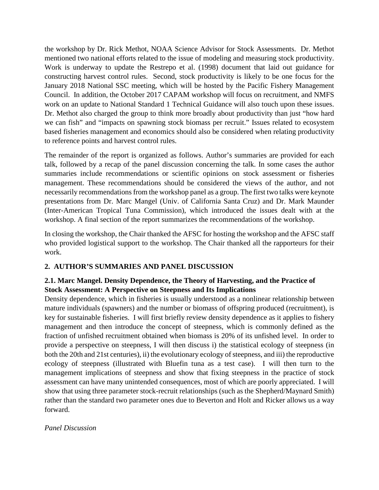the workshop by Dr. Rick Methot, NOAA Science Advisor for Stock Assessments. Dr. Methot mentioned two national efforts related to the issue of modeling and measuring stock productivity. Work is underway to update the Restrepo et al. (1998) document that laid out guidance for constructing harvest control rules. Second, stock productivity is likely to be one focus for the January 2018 National SSC meeting, which will be hosted by the Pacific Fishery Management Council. In addition, the October 2017 CAPAM workshop will focus on recruitment, and NMFS work on an update to National Standard 1 Technical Guidance will also touch upon these issues. Dr. Methot also charged the group to think more broadly about productivity than just "how hard we can fish" and "impacts on spawning stock biomass per recruit." Issues related to ecosystem based fisheries management and economics should also be considered when relating productivity to reference points and harvest control rules.

The remainder of the report is organized as follows. Author's summaries are provided for each talk, followed by a recap of the panel discussion concerning the talk. In some cases the author summaries include recommendations or scientific opinions on stock assessment or fisheries management. These recommendations should be considered the views of the author, and not necessarily recommendations from the workshop panel as a group. The first two talks were keynote presentations from Dr. Marc Mangel (Univ. of California Santa Cruz) and Dr. Mark Maunder (Inter-American Tropical Tuna Commission), which introduced the issues dealt with at the workshop. A final section of the report summarizes the recommendations of the workshop.

In closing the workshop, the Chair thanked the AFSC for hosting the workshop and the AFSC staff who provided logistical support to the workshop. The Chair thanked all the rapporteurs for their work.

## **2. AUTHOR'S SUMMARIES AND PANEL DISCUSSION**

# **2.1. Marc Mangel. Density Dependence, the Theory of Harvesting, and the Practice of Stock Assessment: A Perspective on Steepness and Its Implications**

Density dependence, which in fisheries is usually understood as a nonlinear relationship between mature individuals (spawners) and the number or biomass of offspring produced (recruitment), is key for sustainable fisheries. I will first briefly review density dependence as it applies to fishery management and then introduce the concept of steepness, which is commonly defined as the fraction of unfished recruitment obtained when biomass is 20% of its unfished level. In order to provide a perspective on steepness, I will then discuss i) the statistical ecology of steepness (in both the 20th and 21st centuries), ii) the evolutionary ecology of steepness, and iii) the reproductive ecology of steepness (illustrated with Bluefin tuna as a test case). I will then turn to the management implications of steepness and show that fixing steepness in the practice of stock assessment can have many unintended consequences, most of which are poorly appreciated. I will show that using three parameter stock-recruit relationships (such as the Shepherd/Maynard Smith) rather than the standard two parameter ones due to Beverton and Holt and Ricker allows us a way forward.

### *Panel Discussion*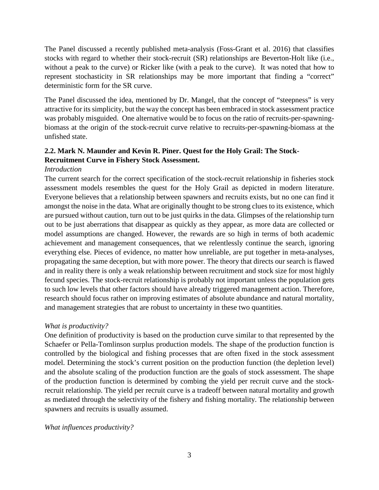The Panel discussed a recently published meta-analysis (Foss-Grant et al. 2016) that classifies stocks with regard to whether their stock-recruit (SR) relationships are Beverton-Holt like (i.e., without a peak to the curve) or Ricker like (with a peak to the curve). It was noted that how to represent stochasticity in SR relationships may be more important that finding a "correct" deterministic form for the SR curve.

The Panel discussed the idea, mentioned by Dr. Mangel, that the concept of "steepness" is very attractive for its simplicity, but the way the concept has been embraced in stock assessment practice was probably misguided. One alternative would be to focus on the ratio of recruits-per-spawningbiomass at the origin of the stock-recruit curve relative to recruits-per-spawning-biomass at the unfished state.

# **2.2. Mark N. Maunder and Kevin R. Piner. Quest for the Holy Grail: The Stock-Recruitment Curve in Fishery Stock Assessment.**

## *Introduction*

The current search for the correct specification of the stock-recruit relationship in fisheries stock assessment models resembles the quest for the Holy Grail as depicted in modern literature. Everyone believes that a relationship between spawners and recruits exists, but no one can find it amongst the noise in the data. What are originally thought to be strong clues to its existence, which are pursued without caution, turn out to be just quirks in the data. Glimpses of the relationship turn out to be just aberrations that disappear as quickly as they appear, as more data are collected or model assumptions are changed. However, the rewards are so high in terms of both academic achievement and management consequences, that we relentlessly continue the search, ignoring everything else. Pieces of evidence, no matter how unreliable, are put together in meta-analyses, propagating the same deception, but with more power. The theory that directs our search is flawed and in reality there is only a weak relationship between recruitment and stock size for most highly fecund species. The stock-recruit relationship is probably not important unless the population gets to such low levels that other factors should have already triggered management action. Therefore, research should focus rather on improving estimates of absolute abundance and natural mortality, and management strategies that are robust to uncertainty in these two quantities.

## *What is productivity?*

One definition of productivity is based on the production curve similar to that represented by the Schaefer or Pella-Tomlinson surplus production models. The shape of the production function is controlled by the biological and fishing processes that are often fixed in the stock assessment model. Determining the stock's current position on the production function (the depletion level) and the absolute scaling of the production function are the goals of stock assessment. The shape of the production function is determined by combing the yield per recruit curve and the stockrecruit relationship. The yield per recruit curve is a tradeoff between natural mortality and growth as mediated through the selectivity of the fishery and fishing mortality. The relationship between spawners and recruits is usually assumed.

*What influences productivity?*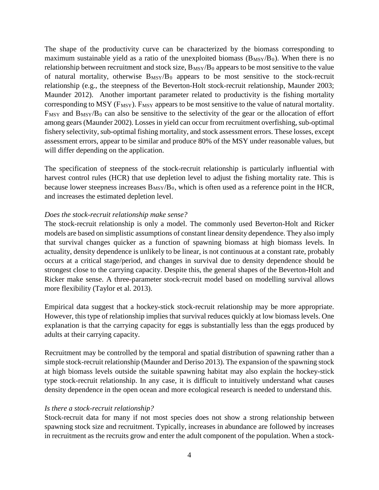The shape of the productivity curve can be characterized by the biomass corresponding to maximum sustainable yield as a ratio of the unexploited biomass  $(B_{MSY}/B_0)$ . When there is no relationship between recruitment and stock size,  $B_{MSY}/B_0$  appears to be most sensitive to the value of natural mortality, otherwise  $B_{MSY}/B_0$  appears to be most sensitive to the stock-recruit relationship (e.g., the steepness of the Beverton-Holt stock-recruit relationship, Maunder 2003; Maunder 2012). Another important parameter related to productivity is the fishing mortality corresponding to MSY ( $F_{MSY}$ ).  $F_{MSY}$  appears to be most sensitive to the value of natural mortality.  $F_{MSY}$  and  $B_{MSY}/B_0$  can also be sensitive to the selectivity of the gear or the allocation of effort among gears (Maunder 2002). Losses in yield can occur from recruitment overfishing, sub-optimal fishery selectivity, sub-optimal fishing mortality, and stock assessment errors. These losses, except assessment errors, appear to be similar and produce 80% of the MSY under reasonable values, but will differ depending on the application.

The specification of steepness of the stock-recruit relationship is particularly influential with harvest control rules (HCR) that use depletion level to adjust the fishing mortality rate. This is because lower steepness increases  $B_{\text{MSY}}/B_0$ , which is often used as a reference point in the HCR, and increases the estimated depletion level.

### *Does the stock-recruit relationship make sense?*

The stock-recruit relationship is only a model. The commonly used Beverton-Holt and Ricker models are based on simplistic assumptions of constant linear density dependence. They also imply that survival changes quicker as a function of spawning biomass at high biomass levels. In actuality, density dependence is unlikely to be linear, is not continuous at a constant rate, probably occurs at a critical stage/period, and changes in survival due to density dependence should be strongest close to the carrying capacity. Despite this, the general shapes of the Beverton-Holt and Ricker make sense. A three-parameter stock-recruit model based on modelling survival allows more flexibility (Taylor et al. 2013).

Empirical data suggest that a hockey-stick stock-recruit relationship may be more appropriate. However, this type of relationship implies that survival reduces quickly at low biomass levels. One explanation is that the carrying capacity for eggs is substantially less than the eggs produced by adults at their carrying capacity.

Recruitment may be controlled by the temporal and spatial distribution of spawning rather than a simple stock-recruit relationship (Maunder and Deriso 2013). The expansion of the spawning stock at high biomass levels outside the suitable spawning habitat may also explain the hockey-stick type stock-recruit relationship. In any case, it is difficult to intuitively understand what causes density dependence in the open ocean and more ecological research is needed to understand this.

### *Is there a stock-recruit relationship?*

Stock-recruit data for many if not most species does not show a strong relationship between spawning stock size and recruitment. Typically, increases in abundance are followed by increases in recruitment as the recruits grow and enter the adult component of the population. When a stock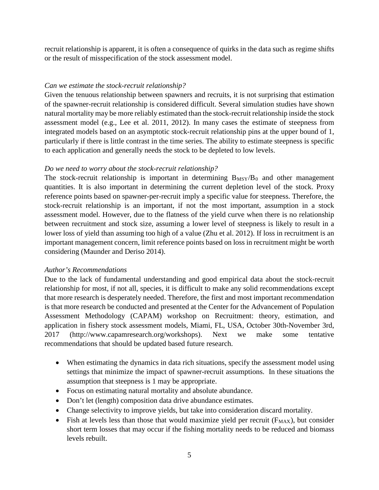recruit relationship is apparent, it is often a consequence of quirks in the data such as regime shifts or the result of misspecification of the stock assessment model.

### *Can we estimate the stock-recruit relationship?*

Given the tenuous relationship between spawners and recruits, it is not surprising that estimation of the spawner-recruit relationship is considered difficult. Several simulation studies have shown natural mortality may be more reliably estimated than the stock-recruit relationship inside the stock assessment model (e.g., Lee et al. 2011, 2012). In many cases the estimate of steepness from integrated models based on an asymptotic stock-recruit relationship pins at the upper bound of 1, particularly if there is little contrast in the time series. The ability to estimate steepness is specific to each application and generally needs the stock to be depleted to low levels.

#### *Do we need to worry about the stock-recruit relationship?*

The stock-recruit relationship is important in determining  $B_{MSY}/B_0$  and other management quantities. It is also important in determining the current depletion level of the stock. Proxy reference points based on spawner-per-recruit imply a specific value for steepness. Therefore, the stock-recruit relationship is an important, if not the most important, assumption in a stock assessment model. However, due to the flatness of the yield curve when there is no relationship between recruitment and stock size, assuming a lower level of steepness is likely to result in a lower loss of yield than assuming too high of a value (Zhu et al. 2012). If loss in recruitment is an important management concern, limit reference points based on loss in recruitment might be worth considering (Maunder and Deriso 2014).

#### *Author's Recommendations*

Due to the lack of fundamental understanding and good empirical data about the stock-recruit relationship for most, if not all, species, it is difficult to make any solid recommendations except that more research is desperately needed. Therefore, the first and most important recommendation is that more research be conducted and presented at the Center for the Advancement of Population Assessment Methodology (CAPAM) workshop on Recruitment: theory, estimation, and application in fishery stock assessment models, Miami, FL, USA, October 30th-November 3rd, 2017 (http://www.capamresearch.org/workshops). Next we make some tentative recommendations that should be updated based future research.

- When estimating the dynamics in data rich situations, specify the assessment model using settings that minimize the impact of spawner-recruit assumptions. In these situations the assumption that steepness is 1 may be appropriate.
- Focus on estimating natural mortality and absolute abundance.
- Don't let (length) composition data drive abundance estimates.
- Change selectivity to improve yields, but take into consideration discard mortality.
- Fish at levels less than those that would maximize yield per recruit  $(F_{MAX})$ , but consider short term losses that may occur if the fishing mortality needs to be reduced and biomass levels rebuilt.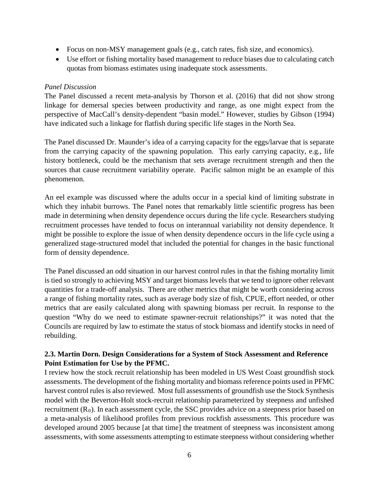- Focus on non-MSY management goals (e.g., catch rates, fish size, and economics).
- Use effort or fishing mortality based management to reduce biases due to calculating catch quotas from biomass estimates using inadequate stock assessments.

## *Panel Discussion*

The Panel discussed a recent meta-analysis by Thorson et al. (2016) that did not show strong linkage for demersal species between productivity and range, as one might expect from the perspective of MacCall's density-dependent "basin model." However, studies by Gibson (1994) have indicated such a linkage for flatfish during specific life stages in the North Sea.

The Panel discussed Dr. Maunder's idea of a carrying capacity for the eggs/larvae that is separate from the carrying capacity of the spawning population. This early carrying capacity, e.g., life history bottleneck, could be the mechanism that sets average recruitment strength and then the sources that cause recruitment variability operate. Pacific salmon might be an example of this phenomenon.

An eel example was discussed where the adults occur in a special kind of limiting substrate in which they inhabit burrows. The Panel notes that remarkably little scientific progress has been made in determining when density dependence occurs during the life cycle. Researchers studying recruitment processes have tended to focus on interannual variability not density dependence. It might be possible to explore the issue of when density dependence occurs in the life cycle using a generalized stage-structured model that included the potential for changes in the basic functional form of density dependence.

The Panel discussed an odd situation in our harvest control rules in that the fishing mortality limit is tied so strongly to achieving MSY and target biomass levels that we tend to ignore other relevant quantities for a trade-off analysis. There are other metrics that might be worth considering across a range of fishing mortality rates, such as average body size of fish, CPUE, effort needed, or other metrics that are easily calculated along with spawning biomass per recruit. In response to the question "Why do we need to estimate spawner-recruit relationships?" it was noted that the Councils are required by law to estimate the status of stock biomass and identify stocks in need of rebuilding.

# **2.3. Martin Dorn. Design Considerations for a System of Stock Assessment and Reference Point Estimation for Use by the PFMC.**

I review how the stock recruit relationship has been modeled in US West Coast groundfish stock assessments. The development of the fishing mortality and biomass reference points used in PFMC harvest control rules is also reviewed. Most full assessments of groundfish use the Stock Synthesis model with the Beverton-Holt stock-recruit relationship parameterized by steepness and unfished recruitment  $(R_0)$ . In each assessment cycle, the SSC provides advice on a steepness prior based on a meta-analysis of likelihood profiles from previous rockfish assessments. This procedure was developed around 2005 because [at that time] the treatment of steepness was inconsistent among assessments, with some assessments attempting to estimate steepness without considering whether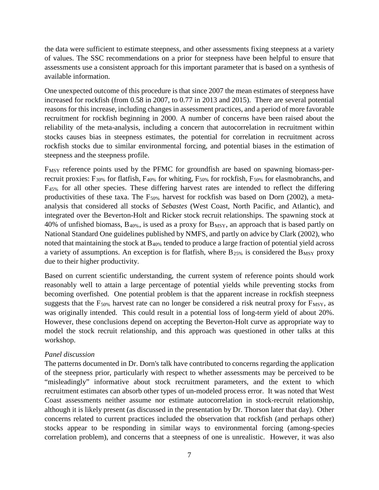the data were sufficient to estimate steepness, and other assessments fixing steepness at a variety of values. The SSC recommendations on a prior for steepness have been helpful to ensure that assessments use a consistent approach for this important parameter that is based on a synthesis of available information.

One unexpected outcome of this procedure is that since 2007 the mean estimates of steepness have increased for rockfish (from 0.58 in 2007, to 0.77 in 2013 and 2015). There are several potential reasons for this increase, including changes in assessment practices, and a period of more favorable recruitment for rockfish beginning in 2000. A number of concerns have been raised about the reliability of the meta-analysis, including a concern that autocorrelation in recruitment within stocks causes bias in steepness estimates, the potential for correlation in recruitment across rockfish stocks due to similar environmental forcing, and potential biases in the estimation of steepness and the steepness profile.

F<sub>MSY</sub> reference points used by the PFMC for groundfish are based on spawning biomass-perrecruit proxies:  $F_{30\%}$  for flatfish,  $F_{40\%}$  for whiting,  $F_{50\%}$  for rockfish,  $F_{50\%}$  for elasmobranchs, and F45% for all other species. These differing harvest rates are intended to reflect the differing productivities of these taxa. The F50% harvest for rockfish was based on Dorn (2002), a metaanalysis that considered all stocks of *Sebastes* (West Coast, North Pacific, and Atlantic), and integrated over the Beverton-Holt and Ricker stock recruit relationships. The spawning stock at 40% of unfished biomass,  $B_{40\%}$ , is used as a proxy for  $B_{MSY}$ , an approach that is based partly on National Standard One guidelines published by NMFS, and partly on advice by Clark (2002), who noted that maintaining the stock at B40% tended to produce a large fraction of potential yield across a variety of assumptions. An exception is for flatfish, where  $B_{25\%}$  is considered the  $B_{MSY}$  proxy due to their higher productivity.

Based on current scientific understanding, the current system of reference points should work reasonably well to attain a large percentage of potential yields while preventing stocks from becoming overfished. One potential problem is that the apparent increase in rockfish steepness suggests that the  $F_{50\%}$  harvest rate can no longer be considered a risk neutral proxy for  $F_{MSY}$ , as was originally intended. This could result in a potential loss of long-term yield of about 20%. However, these conclusions depend on accepting the Beverton-Holt curve as appropriate way to model the stock recruit relationship, and this approach was questioned in other talks at this workshop.

### *Panel discussion*

The patterns documented in Dr. Dorn's talk have contributed to concerns regarding the application of the steepness prior, particularly with respect to whether assessments may be perceived to be "misleadingly" informative about stock recruitment parameters, and the extent to which recruitment estimates can absorb other types of un-modeled process error. It was noted that West Coast assessments neither assume nor estimate autocorrelation in stock-recruit relationship, although it is likely present (as discussed in the presentation by Dr. Thorson later that day). Other concerns related to current practices included the observation that rockfish (and perhaps other) stocks appear to be responding in similar ways to environmental forcing (among-species correlation problem), and concerns that a steepness of one is unrealistic. However, it was also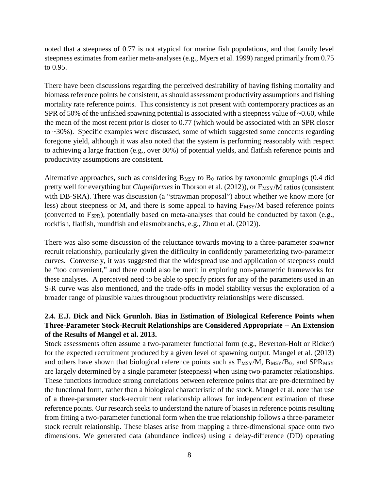noted that a steepness of 0.77 is not atypical for marine fish populations, and that family level steepness estimates from earlier meta-analyses (e.g., Myers et al. 1999) ranged primarily from 0.75 to 0.95.

There have been discussions regarding the perceived desirability of having fishing mortality and biomass reference points be consistent, as should assessment productivity assumptions and fishing mortality rate reference points. This consistency is not present with contemporary practices as an SPR of 50% of the unfished spawning potential is associated with a steepness value of  $\sim 0.60$ , while the mean of the most recent prior is closer to 0.77 (which would be associated with an SPR closer to ~30%). Specific examples were discussed, some of which suggested some concerns regarding foregone yield, although it was also noted that the system is performing reasonably with respect to achieving a large fraction (e.g., over 80%) of potential yields, and flatfish reference points and productivity assumptions are consistent.

Alternative approaches, such as considering  $B_{MSY}$  to  $B_0$  ratios by taxonomic groupings (0.4 did pretty well for everything but *Clupeiformes* in Thorson et al. (2012)), or  $F_{MSY}/M$  ratios (consistent with DB-SRA). There was discussion (a "strawman proposal") about whether we know more (or less) about steepness or M, and there is some appeal to having  $F_{\text{MSY}}/M$  based reference points (converted to  $F_{SPR}$ ), potentially based on meta-analyses that could be conducted by taxon (e.g., rockfish, flatfish, roundfish and elasmobranchs, e.g., Zhou et al. (2012)).

There was also some discussion of the reluctance towards moving to a three-parameter spawner recruit relationship, particularly given the difficulty in confidently parameterizing two-parameter curves. Conversely, it was suggested that the widespread use and application of steepness could be "too convenient," and there could also be merit in exploring non-parametric frameworks for these analyses. A perceived need to be able to specify priors for any of the parameters used in an S-R curve was also mentioned, and the trade-offs in model stability versus the exploration of a broader range of plausible values throughout productivity relationships were discussed.

# **2.4. E.J. Dick and Nick Grunloh. Bias in Estimation of Biological Reference Points when Three-Parameter Stock-Recruit Relationships are Considered Appropriate -- An Extension of the Results of Mangel et al. 2013.**

Stock assessments often assume a two-parameter functional form (e.g., Beverton-Holt or Ricker) for the expected recruitment produced by a given level of spawning output. Mangel et al. (2013) and others have shown that biological reference points such as  $F_{MSY}/M$ ,  $B_{MSY}/B_0$ , and  $SPR_{MSY}$ are largely determined by a single parameter (steepness) when using two-parameter relationships. These functions introduce strong correlations between reference points that are pre-determined by the functional form, rather than a biological characteristic of the stock. Mangel et al. note that use of a three-parameter stock-recruitment relationship allows for independent estimation of these reference points. Our research seeks to understand the nature of biases in reference points resulting from fitting a two-parameter functional form when the true relationship follows a three-parameter stock recruit relationship. These biases arise from mapping a three-dimensional space onto two dimensions. We generated data (abundance indices) using a delay-difference (DD) operating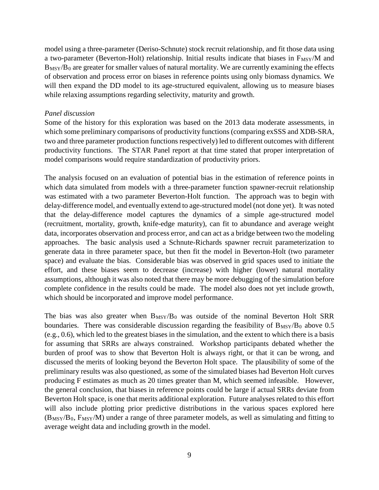model using a three-parameter (Deriso-Schnute) stock recruit relationship, and fit those data using a two-parameter (Beverton-Holt) relationship. Initial results indicate that biases in F<sub>MSY</sub>/M and  $B_{\text{MSY}}/B_0$  are greater for smaller values of natural mortality. We are currently examining the effects of observation and process error on biases in reference points using only biomass dynamics. We will then expand the DD model to its age-structured equivalent, allowing us to measure biases while relaxing assumptions regarding selectivity, maturity and growth.

#### *Panel discussion*

Some of the history for this exploration was based on the 2013 data moderate assessments, in which some preliminary comparisons of productivity functions (comparing exSSS and XDB-SRA, two and three parameter production functions respectively) led to different outcomes with different productivity functions. The STAR Panel report at that time stated that proper interpretation of model comparisons would require standardization of productivity priors.

The analysis focused on an evaluation of potential bias in the estimation of reference points in which data simulated from models with a three-parameter function spawner-recruit relationship was estimated with a two parameter Beverton-Holt function. The approach was to begin with delay-difference model, and eventually extend to age-structured model (not done yet). It was noted that the delay-difference model captures the dynamics of a simple age-structured model (recruitment, mortality, growth, knife-edge maturity), can fit to abundance and average weight data, incorporates observation and process error, and can act as a bridge between two the modeling approaches. The basic analysis used a Schnute-Richards spawner recruit parameterization to generate data in three parameter space, but then fit the model in Beverton-Holt (two parameter space) and evaluate the bias. Considerable bias was observed in grid spaces used to initiate the effort, and these biases seem to decrease (increase) with higher (lower) natural mortality assumptions, although it was also noted that there may be more debugging of the simulation before complete confidence in the results could be made. The model also does not yet include growth, which should be incorporated and improve model performance.

The bias was also greater when  $B_{MSY}/B_0$  was outside of the nominal Beverton Holt SRR boundaries. There was considerable discussion regarding the feasibility of  $B_{MSY}/B_0$  above 0.5 (e.g., 0.6), which led to the greatest biases in the simulation, and the extent to which there is a basis for assuming that SRRs are always constrained. Workshop participants debated whether the burden of proof was to show that Beverton Holt is always right, or that it can be wrong, and discussed the merits of looking beyond the Beverton Holt space. The plausibility of some of the preliminary results was also questioned, as some of the simulated biases had Beverton Holt curves producing F estimates as much as 20 times greater than M, which seemed infeasible. However, the general conclusion, that biases in reference points could be large if actual SRRs deviate from Beverton Holt space, is one that merits additional exploration. Future analyses related to this effort will also include plotting prior predictive distributions in the various spaces explored here  $(B_{MSY}/B_0, F_{MSY}/M)$  under a range of three parameter models, as well as simulating and fitting to average weight data and including growth in the model.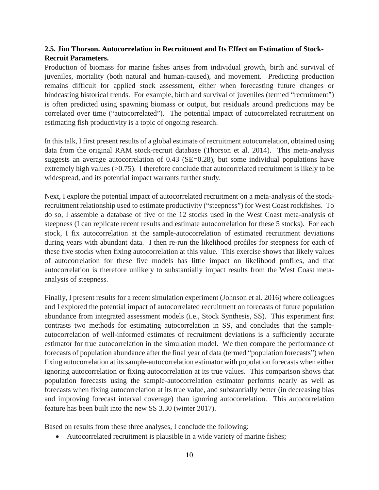# **2.5. Jim Thorson. Autocorrelation in Recruitment and Its Effect on Estimation of Stock-Recruit Parameters.**

Production of biomass for marine fishes arises from individual growth, birth and survival of juveniles, mortality (both natural and human-caused), and movement. Predicting production remains difficult for applied stock assessment, either when forecasting future changes or hindcasting historical trends. For example, birth and survival of juveniles (termed "recruitment") is often predicted using spawning biomass or output, but residuals around predictions may be correlated over time ("autocorrelated"). The potential impact of autocorrelated recruitment on estimating fish productivity is a topic of ongoing research.

In this talk, I first present results of a global estimate of recruitment autocorrelation, obtained using data from the original RAM stock-recruit database (Thorson et al. 2014). This meta-analysis suggests an average autocorrelation of 0.43 (SE=0.28), but some individual populations have extremely high values  $(>0.75)$ . I therefore conclude that autocorrelated recruitment is likely to be widespread, and its potential impact warrants further study.

Next, I explore the potential impact of autocorrelated recruitment on a meta-analysis of the stockrecruitment relationship used to estimate productivity ("steepness") for West Coast rockfishes. To do so, I assemble a database of five of the 12 stocks used in the West Coast meta-analysis of steepness (I can replicate recent results and estimate autocorrelation for these 5 stocks). For each stock, I fix autocorrelation at the sample-autocorrelation of estimated recruitment deviations during years with abundant data. I then re-run the likelihood profiles for steepness for each of these five stocks when fixing autocorrelation at this value. This exercise shows that likely values of autocorrelation for these five models has little impact on likelihood profiles, and that autocorrelation is therefore unlikely to substantially impact results from the West Coast metaanalysis of steepness.

Finally, I present results for a recent simulation experiment (Johnson et al. 2016) where colleagues and I explored the potential impact of autocorrelated recruitment on forecasts of future population abundance from integrated assessment models (i.e., Stock Synthesis, SS). This experiment first contrasts two methods for estimating autocorrelation in SS, and concludes that the sampleautocorrelation of well-informed estimates of recruitment deviations is a sufficiently accurate estimator for true autocorrelation in the simulation model. We then compare the performance of forecasts of population abundance after the final year of data (termed "population forecasts") when fixing autocorrelation at its sample-autocorrelation estimator with population forecasts when either ignoring autocorrelation or fixing autocorrelation at its true values. This comparison shows that population forecasts using the sample-autocorrelation estimator performs nearly as well as forecasts when fixing autocorrelation at its true value, and substantially better (in decreasing bias and improving forecast interval coverage) than ignoring autocorrelation. This autocorrelation feature has been built into the new SS 3.30 (winter 2017).

Based on results from these three analyses, I conclude the following:

• Autocorrelated recruitment is plausible in a wide variety of marine fishes;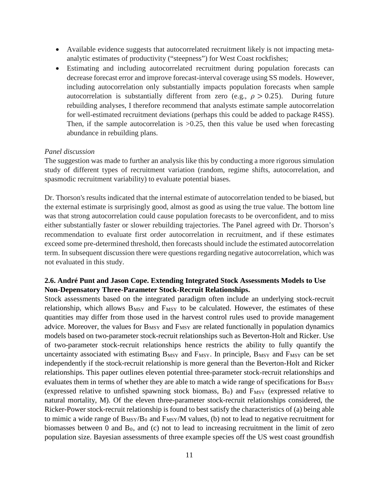- Available evidence suggests that autocorrelated recruitment likely is not impacting metaanalytic estimates of productivity ("steepness") for West Coast rockfishes;
- Estimating and including autocorrelated recruitment during population forecasts can decrease forecast error and improve forecast-interval coverage using SS models. However, including autocorrelation only substantially impacts population forecasts when sample autocorrelation is substantially different from zero (e.g.,  $\rho > 0.25$ ). During future rebuilding analyses, I therefore recommend that analysts estimate sample autocorrelation for well-estimated recruitment deviations (perhaps this could be added to package R4SS). Then, if the sample autocorrelation is  $>0.25$ , then this value be used when forecasting abundance in rebuilding plans.

#### *Panel discussion*

The suggestion was made to further an analysis like this by conducting a more rigorous simulation study of different types of recruitment variation (random, regime shifts, autocorrelation, and spasmodic recruitment variability) to evaluate potential biases.

Dr. Thorson's results indicated that the internal estimate of autocorrelation tended to be biased, but the external estimate is surprisingly good, almost as good as using the true value. The bottom line was that strong autocorrelation could cause population forecasts to be overconfident, and to miss either substantially faster or slower rebuilding trajectories. The Panel agreed with Dr. Thorson's recommendation to evaluate first order autocorrelation in recruitment, and if these estimates exceed some pre-determined threshold, then forecasts should include the estimated autocorrelation term. In subsequent discussion there were questions regarding negative autocorrelation, which was not evaluated in this study.

### **2.6. André Punt and Jason Cope. Extending Integrated Stock Assessments Models to Use Non-Depensatory Three-Parameter Stock-Recruit Relationships.**

Stock assessments based on the integrated paradigm often include an underlying stock-recruit relationship, which allows  $B_{MSY}$  and  $F_{MSY}$  to be calculated. However, the estimates of these quantities may differ from those used in the harvest control rules used to provide management advice. Moreover, the values for B<sub>MSY</sub> and F<sub>MSY</sub> are related functionally in population dynamics models based on two-parameter stock-recruit relationships such as Beverton-Holt and Ricker. Use of two-parameter stock-recruit relationships hence restricts the ability to fully quantify the uncertainty associated with estimating  $B_{MSY}$  and  $F_{MSY}$ . In principle,  $B_{MSY}$  and  $F_{MSY}$  can be set independently if the stock-recruit relationship is more general than the Beverton-Holt and Ricker relationships. This paper outlines eleven potential three-parameter stock-recruit relationships and evaluates them in terms of whether they are able to match a wide range of specifications for  $B_{MSY}$ (expressed relative to unfished spawning stock biomass,  $B_0$ ) and  $F_{MSY}$  (expressed relative to natural mortality, M). Of the eleven three-parameter stock-recruit relationships considered, the Ricker-Power stock-recruit relationship is found to best satisfy the characteristics of (a) being able to mimic a wide range of  $B_{MSY}/B_0$  and  $F_{MSY}/M$  values, (b) not to lead to negative recruitment for biomasses between  $0$  and  $B_0$ , and  $(c)$  not to lead to increasing recruitment in the limit of zero population size. Bayesian assessments of three example species off the US west coast groundfish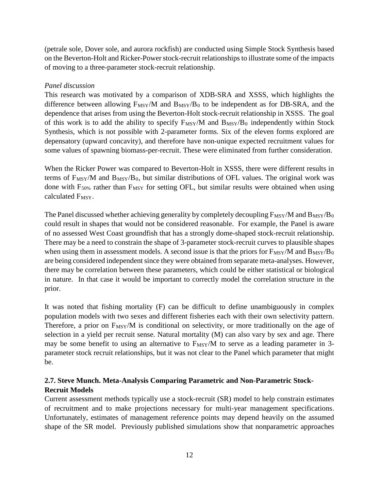(petrale sole, Dover sole, and aurora rockfish) are conducted using Simple Stock Synthesis based on the Beverton-Holt and Ricker-Power stock-recruit relationships to illustrate some of the impacts of moving to a three-parameter stock-recruit relationship.

# *Panel discussion*

This research was motivated by a comparison of XDB-SRA and XSSS, which highlights the difference between allowing  $F_{MSY}/M$  and  $B_{MSY}/B_0$  to be independent as for DB-SRA, and the dependence that arises from using the Beverton-Holt stock-recruit relationship in XSSS. The goal of this work is to add the ability to specify  $F_{MSY}/M$  and  $B_{MSY}/B_0$  independently within Stock Synthesis, which is not possible with 2-parameter forms. Six of the eleven forms explored are depensatory (upward concavity), and therefore have non-unique expected recruitment values for some values of spawning biomass-per-recruit. These were eliminated from further consideration.

When the Ricker Power was compared to Beverton-Holt in XSSS, there were different results in terms of  $F_{\text{MSY}}/M$  and  $B_{\text{MSY}}/B_0$ , but similar distributions of OFL values. The original work was done with  $F_{50\%}$  rather than  $F_{MSY}$  for setting OFL, but similar results were obtained when using calculated F<sub>MSY</sub>.

The Panel discussed whether achieving generality by completely decoupling  $F_{MSY}/M$  and  $B_{MSY}/B_0$ could result in shapes that would not be considered reasonable. For example, the Panel is aware of no assessed West Coast groundfish that has a strongly dome-shaped stock-recruit relationship. There may be a need to constrain the shape of 3-parameter stock-recruit curves to plausible shapes when using them in assessment models. A second issue is that the priors for  $F_{\text{MSY}}/M$  and  $B_{\text{MSY}}/B_0$ are being considered independent since they were obtained from separate meta-analyses. However, there may be correlation between these parameters, which could be either statistical or biological in nature. In that case it would be important to correctly model the correlation structure in the prior.

It was noted that fishing mortality (F) can be difficult to define unambiguously in complex population models with two sexes and different fisheries each with their own selectivity pattern. Therefore, a prior on  $F_{\text{MSY}}/M$  is conditional on selectivity, or more traditionally on the age of selection in a yield per recruit sense. Natural mortality (M) can also vary by sex and age. There may be some benefit to using an alternative to  $F_{\text{MSY}}/M$  to serve as a leading parameter in 3parameter stock recruit relationships, but it was not clear to the Panel which parameter that might be.

# **2.7. Steve Munch. Meta-Analysis Comparing Parametric and Non-Parametric Stock-Recruit Models**

Current assessment methods typically use a stock-recruit (SR) model to help constrain estimates of recruitment and to make projections necessary for multi-year management specifications. Unfortunately, estimates of management reference points may depend heavily on the assumed shape of the SR model. Previously published simulations show that nonparametric approaches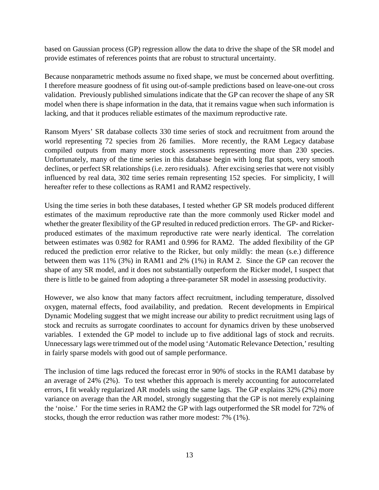based on Gaussian process (GP) regression allow the data to drive the shape of the SR model and provide estimates of references points that are robust to structural uncertainty.

Because nonparametric methods assume no fixed shape, we must be concerned about overfitting. I therefore measure goodness of fit using out-of-sample predictions based on leave-one-out cross validation. Previously published simulations indicate that the GP can recover the shape of any SR model when there is shape information in the data, that it remains vague when such information is lacking, and that it produces reliable estimates of the maximum reproductive rate.

Ransom Myers' SR database collects 330 time series of stock and recruitment from around the world representing 72 species from 26 families. More recently, the RAM Legacy database compiled outputs from many more stock assessments representing more than 230 species. Unfortunately, many of the time series in this database begin with long flat spots, very smooth declines, or perfect SR relationships (i.e. zero residuals). After excising series that were not visibly influenced by real data, 302 time series remain representing 152 species. For simplicity, I will hereafter refer to these collections as RAM1 and RAM2 respectively.

Using the time series in both these databases, I tested whether GP SR models produced different estimates of the maximum reproductive rate than the more commonly used Ricker model and whether the greater flexibility of the GP resulted in reduced prediction errors. The GP- and Rickerproduced estimates of the maximum reproductive rate were nearly identical. The correlation between estimates was 0.982 for RAM1 and 0.996 for RAM2. The added flexibility of the GP reduced the prediction error relative to the Ricker, but only mildly: the mean (s.e.) difference between them was 11% (3%) in RAM1 and 2% (1%) in RAM 2. Since the GP can recover the shape of any SR model, and it does not substantially outperform the Ricker model, I suspect that there is little to be gained from adopting a three-parameter SR model in assessing productivity.

However, we also know that many factors affect recruitment, including temperature, dissolved oxygen, maternal effects, food availability, and predation. Recent developments in Empirical Dynamic Modeling suggest that we might increase our ability to predict recruitment using lags of stock and recruits as surrogate coordinates to account for dynamics driven by these unobserved variables. I extended the GP model to include up to five additional lags of stock and recruits. Unnecessary lags were trimmed out of the model using 'Automatic Relevance Detection,' resulting in fairly sparse models with good out of sample performance.

The inclusion of time lags reduced the forecast error in 90% of stocks in the RAM1 database by an average of 24% (2%). To test whether this approach is merely accounting for autocorrelated errors, I fit weakly regularized AR models using the same lags. The GP explains 32% (2%) more variance on average than the AR model, strongly suggesting that the GP is not merely explaining the 'noise.' For the time series in RAM2 the GP with lags outperformed the SR model for 72% of stocks, though the error reduction was rather more modest: 7% (1%).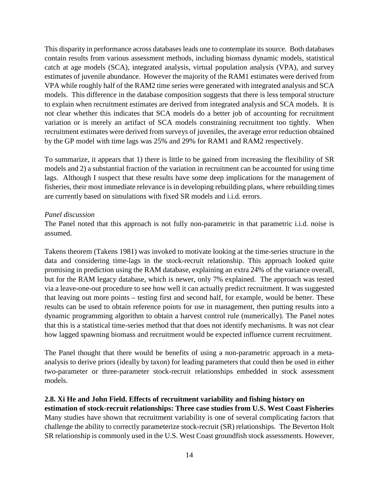This disparity in performance across databases leads one to contemplate its source. Both databases contain results from various assessment methods, including biomass dynamic models, statistical catch at age models (SCA), integrated analysis, virtual population analysis (VPA), and survey estimates of juvenile abundance. However the majority of the RAM1 estimates were derived from VPA while roughly half of the RAM2 time series were generated with integrated analysis and SCA models. This difference in the database composition suggests that there is less temporal structure to explain when recruitment estimates are derived from integrated analysis and SCA models. It is not clear whether this indicates that SCA models do a better job of accounting for recruitment variation or is merely an artifact of SCA models constraining recruitment too tightly. When recruitment estimates were derived from surveys of juveniles, the average error reduction obtained by the GP model with time lags was 25% and 29% for RAM1 and RAM2 respectively.

To summarize, it appears that 1) there is little to be gained from increasing the flexibility of SR models and 2) a substantial fraction of the variation in recruitment can be accounted for using time lags. Although I suspect that these results have some deep implications for the management of fisheries, their most immediate relevance is in developing rebuilding plans, where rebuilding times are currently based on simulations with fixed SR models and i.i.d. errors.

### *Panel discussion*

The Panel noted that this approach is not fully non-parametric in that parametric i.i.d. noise is assumed.

Takens theorem (Takens 1981) was invoked to motivate looking at the time-series structure in the data and considering time-lags in the stock-recruit relationship. This approach looked quite promising in prediction using the RAM database, explaining an extra 24% of the variance overall, but for the RAM legacy database, which is newer, only 7% explained. The approach was tested via a leave-one-out procedure to see how well it can actually predict recruitment. It was suggested that leaving out more points – testing first and second half, for example, would be better. These results can be used to obtain reference points for use in management, then putting results into a dynamic programming algorithm to obtain a harvest control rule (numerically). The Panel notes that this is a statistical time-series method that that does not identify mechanisms. It was not clear how lagged spawning biomass and recruitment would be expected influence current recruitment.

The Panel thought that there would be benefits of using a non-parametric approach in a metaanalysis to derive priors (ideally by taxon) for leading parameters that could then be used in either two-parameter or three-parameter stock-recruit relationships embedded in stock assessment models.

## **2.8. Xi He and John Field. Effects of recruitment variability and fishing history on**

**estimation of stock-recruit relationships: Three case studies from U.S. West Coast Fisheries** Many studies have shown that recruitment variability is one of several complicating factors that challenge the ability to correctly parameterize stock-recruit (SR) relationships. The Beverton Holt SR relationship is commonly used in the U.S. West Coast groundfish stock assessments. However,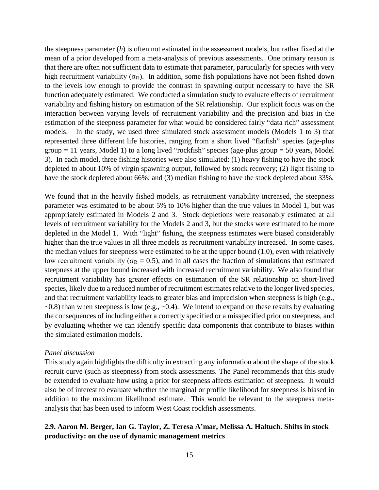the steepness parameter (*h*) is often not estimated in the assessment models, but rather fixed at the mean of a prior developed from a meta-analysis of previous assessments. One primary reason is that there are often not sufficient data to estimate that parameter, particularly for species with very high recruitment variability ( $\sigma_R$ ). In addition, some fish populations have not been fished down to the levels low enough to provide the contrast in spawning output necessary to have the SR function adequately estimated. We conducted a simulation study to evaluate effects of recruitment variability and fishing history on estimation of the SR relationship. Our explicit focus was on the interaction between varying levels of recruitment variability and the precision and bias in the estimation of the steepness parameter for what would be considered fairly "data rich" assessment models. In the study, we used three simulated stock assessment models (Models 1 to 3) that represented three different life histories, ranging from a short lived "flatfish" species (age-plus  $group = 11 years, Model 1) to a long lived "rockfish" species (age-plus group = 50 years, Model)$ 3). In each model, three fishing histories were also simulated: (1) heavy fishing to have the stock depleted to about 10% of virgin spawning output, followed by stock recovery; (2) light fishing to have the stock depleted about 66%; and (3) median fishing to have the stock depleted about 33%.

We found that in the heavily fished models, as recruitment variability increased, the steepness parameter was estimated to be about 5% to 10% higher than the true values in Model 1, but was appropriately estimated in Models 2 and 3. Stock depletions were reasonably estimated at all levels of recruitment variability for the Models 2 and 3, but the stocks were estimated to be more depleted in the Model 1. With "light" fishing, the steepness estimates were biased considerably higher than the true values in all three models as recruitment variability increased. In some cases, the median values for steepness were estimated to be at the upper bound (1.0), even with relatively low recruitment variability (σ<sub>R</sub> = 0.5), and in all cases the fraction of simulations that estimated steepness at the upper bound increased with increased recruitment variability. We also found that recruitment variability has greater effects on estimation of the SR relationship on short-lived species, likely due to a reduced number of recruitment estimates relative to the longer lived species, and that recruitment variability leads to greater bias and imprecision when steepness is high (e.g.,  $\sim$ 0.8) than when steepness is low (e.g.,  $\sim$ 0.4). We intend to expand on these results by evaluating the consequences of including either a correctly specified or a misspecified prior on steepness, and by evaluating whether we can identify specific data components that contribute to biases within the simulated estimation models.

#### *Panel discussion*

This study again highlights the difficulty in extracting any information about the shape of the stock recruit curve (such as steepness) from stock assessments. The Panel recommends that this study be extended to evaluate how using a prior for steepness affects estimation of steepness. It would also be of interest to evaluate whether the marginal or profile likelihood for steepness is biased in addition to the maximum likelihood estimate. This would be relevant to the steepness metaanalysis that has been used to inform West Coast rockfish assessments.

## **2.9. Aaron M. Berger, Ian G. Taylor, Z. Teresa A'mar, Melissa A. Haltuch. Shifts in stock productivity: on the use of dynamic management metrics**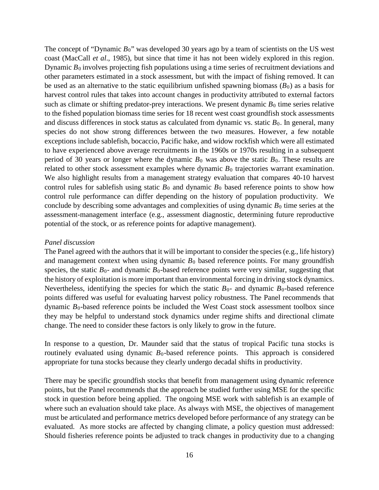The concept of "Dynamic  $B_0$ " was developed 30 years ago by a team of scientists on the US west coast (MacCall *et al*., 1985), but since that time it has not been widely explored in this region. Dynamic  $B_0$  involves projecting fish populations using a time series of recruitment deviations and other parameters estimated in a stock assessment, but with the impact of fishing removed. It can be used as an alternative to the static equilibrium unfished spawning biomass  $(B_0)$  as a basis for harvest control rules that takes into account changes in productivity attributed to external factors such as climate or shifting predator-prey interactions. We present dynamic  $B_0$  time series relative to the fished population biomass time series for 18 recent west coast groundfish stock assessments and discuss differences in stock status as calculated from dynamic vs. static  $B_0$ . In general, many species do not show strong differences between the two measures. However, a few notable exceptions include sablefish, bocaccio, Pacific hake, and widow rockfish which were all estimated to have experienced above average recruitments in the 1960s or 1970s resulting in a subsequent period of 30 years or longer where the dynamic  $B_0$  was above the static  $B_0$ . These results are related to other stock assessment examples where dynamic  $B_0$  trajectories warrant examination. We also highlight results from a management strategy evaluation that compares 40-10 harvest control rules for sablefish using static  $B_0$  and dynamic  $B_0$  based reference points to show how control rule performance can differ depending on the history of population productivity. We conclude by describing some advantages and complexities of using dynamic  $B_0$  time series at the assessment-management interface (e.g., assessment diagnostic, determining future reproductive potential of the stock, or as reference points for adaptive management).

#### *Panel discussion*

The Panel agreed with the authors that it will be important to consider the species (e.g., life history) and management context when using dynamic  $B_0$  based reference points. For many groundfish species, the static  $B_0$ - and dynamic  $B_0$ -based reference points were very similar, suggesting that the history of exploitation is more important than environmental forcing in driving stock dynamics. Nevertheless, identifying the species for which the static  $B_0$ - and dynamic  $B_0$ -based reference points differed was useful for evaluating harvest policy robustness. The Panel recommends that dynamic  $B_0$ -based reference points be included the West Coast stock assessment toolbox since they may be helpful to understand stock dynamics under regime shifts and directional climate change. The need to consider these factors is only likely to grow in the future.

In response to a question, Dr. Maunder said that the status of tropical Pacific tuna stocks is routinely evaluated using dynamic  $B_0$ -based reference points. This approach is considered appropriate for tuna stocks because they clearly undergo decadal shifts in productivity.

There may be specific groundfish stocks that benefit from management using dynamic reference points, but the Panel recommends that the approach be studied further using MSE for the specific stock in question before being applied. The ongoing MSE work with sablefish is an example of where such an evaluation should take place. As always with MSE, the objectives of management must be articulated and performance metrics developed before performance of any strategy can be evaluated. As more stocks are affected by changing climate, a policy question must addressed: Should fisheries reference points be adjusted to track changes in productivity due to a changing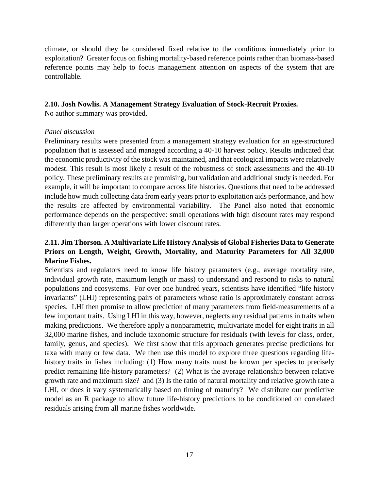climate, or should they be considered fixed relative to the conditions immediately prior to exploitation? Greater focus on fishing mortality-based reference points rather than biomass-based reference points may help to focus management attention on aspects of the system that are controllable.

## **2.10. Josh Nowlis. A Management Strategy Evaluation of Stock-Recruit Proxies.**

No author summary was provided.

## *Panel discussion*

Preliminary results were presented from a management strategy evaluation for an age-structured population that is assessed and managed according a 40-10 harvest policy. Results indicated that the economic productivity of the stock was maintained, and that ecological impacts were relatively modest. This result is most likely a result of the robustness of stock assessments and the 40-10 policy. These preliminary results are promising, but validation and additional study is needed. For example, it will be important to compare across life histories. Questions that need to be addressed include how much collecting data from early years prior to exploitation aids performance, and how the results are affected by environmental variability. The Panel also noted that economic performance depends on the perspective: small operations with high discount rates may respond differently than larger operations with lower discount rates.

# **2.11. Jim Thorson. A Multivariate Life History Analysis of Global Fisheries Data to Generate Priors on Length, Weight, Growth, Mortality, and Maturity Parameters for All 32,000 Marine Fishes.**

Scientists and regulators need to know life history parameters (e.g., average mortality rate, individual growth rate, maximum length or mass) to understand and respond to risks to natural populations and ecosystems. For over one hundred years, scientists have identified "life history invariants" (LHI) representing pairs of parameters whose ratio is approximately constant across species. LHI then promise to allow prediction of many parameters from field-measurements of a few important traits. Using LHI in this way, however, neglects any residual patterns in traits when making predictions. We therefore apply a nonparametric, multivariate model for eight traits in all 32,000 marine fishes, and include taxonomic structure for residuals (with levels for class, order, family, genus, and species). We first show that this approach generates precise predictions for taxa with many or few data. We then use this model to explore three questions regarding lifehistory traits in fishes including: (1) How many traits must be known per species to precisely predict remaining life-history parameters? (2) What is the average relationship between relative growth rate and maximum size? and (3) Is the ratio of natural mortality and relative growth rate a LHI, or does it vary systematically based on timing of maturity? We distribute our predictive model as an R package to allow future life-history predictions to be conditioned on correlated residuals arising from all marine fishes worldwide.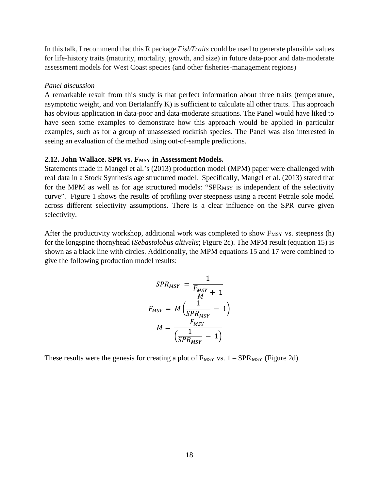In this talk, I recommend that this R package *FishTraits* could be used to generate plausible values for life-history traits (maturity, mortality, growth, and size) in future data-poor and data-moderate assessment models for West Coast species (and other fisheries-management regions)

#### *Panel discussion*

A remarkable result from this study is that perfect information about three traits (temperature, asymptotic weight, and von Bertalanffy K) is sufficient to calculate all other traits. This approach has obvious application in data-poor and data-moderate situations. The Panel would have liked to have seen some examples to demonstrate how this approach would be applied in particular examples, such as for a group of unassessed rockfish species. The Panel was also interested in seeing an evaluation of the method using out-of-sample predictions.

#### 2.12. John Wallace. SPR vs. F<sub>MSY</sub> in Assessment Models.

Statements made in Mangel et al.'s (2013) production model (MPM) paper were challenged with real data in a Stock Synthesis age structured model. Specifically, Mangel et al. (2013) stated that for the MPM as well as for age structured models: "SPR<sub>MSY</sub> is independent of the selectivity curve". Figure 1 shows the results of profiling over steepness using a recent Petrale sole model across different selectivity assumptions. There is a clear influence on the SPR curve given selectivity.

After the productivity workshop, additional work was completed to show  $F_{MSY}$  vs. steepness (h) for the longspine thornyhead (*Sebastolobus altivelis*; Figure 2c). The MPM result (equation 15) is shown as a black line with circles. Additionally, the MPM equations 15 and 17 were combined to give the following production model results:

$$
SPR_{MSY} = \frac{1}{\frac{F_{MSY}}{M} + 1}
$$

$$
F_{MSY} = M\left(\frac{1}{SPR_{MSY}} - 1\right)
$$

$$
M = \frac{F_{MSY}}{\left(\frac{1}{SPR_{MSY}} - 1\right)}
$$

These results were the genesis for creating a plot of  $F_{MSY}$  vs.  $1 - SPR_{MSY}$  (Figure 2d).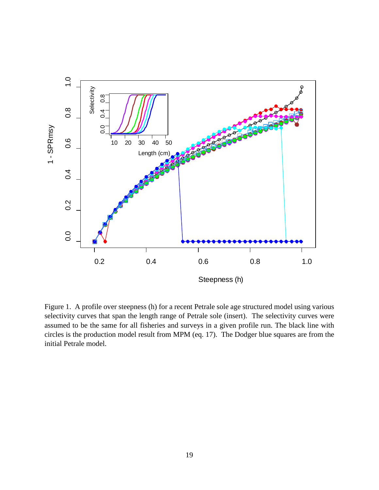

Figure 1. A profile over steepness (h) for a recent Petrale sole age structured model using various selectivity curves that span the length range of Petrale sole (insert). The selectivity curves were assumed to be the same for all fisheries and surveys in a given profile run. The black line with circles is the production model result from MPM (eq. 17). The Dodger blue squares are from the initial Petrale model.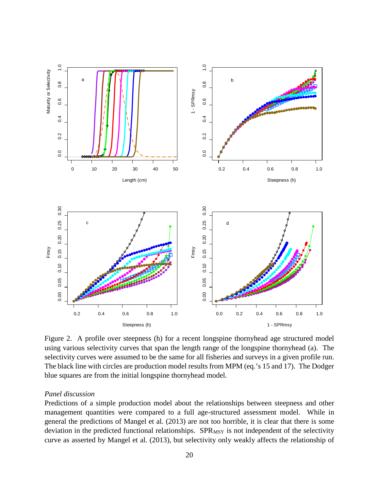

Figure 2. A profile over steepness (h) for a recent longspine thornyhead age structured model using various selectivity curves that span the length range of the longspine thornyhead (a). The selectivity curves were assumed to be the same for all fisheries and surveys in a given profile run. The black line with circles are production model results from MPM (eq.'s 15 and 17). The Dodger blue squares are from the initial longspine thornyhead model.

#### *Panel discussion*

Predictions of a simple production model about the relationships between steepness and other management quantities were compared to a full age-structured assessment model. While in general the predictions of Mangel et al. (2013) are not too horrible, it is clear that there is some deviation in the predicted functional relationships. SPR<sub>MSY</sub> is not independent of the selectivity curve as asserted by Mangel et al. (2013), but selectivity only weakly affects the relationship of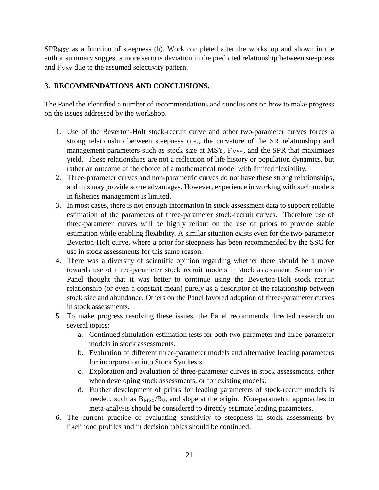$SPR<sub>MSY</sub>$  as a function of steepness (h). Work completed after the workshop and shown in the author summary suggest a more serious deviation in the predicted relationship between steepness and F<sub>MSY</sub> due to the assumed selectivity pattern.

# **3. RECOMMENDATIONS AND CONCLUSIONS.**

The Panel the identified a number of recommendations and conclusions on how to make progress on the issues addressed by the workshop.

- 1. Use of the Beverton-Holt stock-recruit curve and other two-parameter curves forces a strong relationship between steepness (i.e., the curvature of the SR relationship) and management parameters such as stock size at MSY, F<sub>MSY</sub>, and the SPR that maximizes yield. These relationships are not a reflection of life history or population dynamics, but rather an outcome of the choice of a mathematical model with limited flexibility.
- 2. Three-parameter curves and non-parametric curves do not have these strong relationships, and this may provide some advantages. However, experience in working with such models in fisheries management is limited.
- 3. In most cases, there is not enough information in stock assessment data to support reliable estimation of the parameters of three-parameter stock-recruit curves. Therefore use of three-parameter curves will be highly reliant on the use of priors to provide stable estimation while enabling flexibility. A similar situation exists even for the two-parameter Beverton-Holt curve, where a prior for steepness has been recommended by the SSC for use in stock assessments for this same reason.
- 4. There was a diversity of scientific opinion regarding whether there should be a move towards use of three-parameter stock recruit models in stock assessment. Some on the Panel thought that it was better to continue using the Beverton-Holt stock recruit relationship (or even a constant mean) purely as a descriptor of the relationship between stock size and abundance. Others on the Panel favored adoption of three-parameter curves in stock assessments.
- 5. To make progress resolving these issues, the Panel recommends directed research on several topics:
	- a. Continued simulation-estimation tests for both two-parameter and three-parameter models in stock assessments.
	- b. Evaluation of different three-parameter models and alternative leading parameters for incorporation into Stock Synthesis.
	- c. Exploration and evaluation of three-parameter curves in stock assessments, either when developing stock assessments, or for existing models.
	- d. Further development of priors for leading parameters of stock-recruit models is needed, such as  $B_{MSY}/B_0$ , and slope at the origin. Non-parametric approaches to meta-analysis should be considered to directly estimate leading parameters.
- 6. The current practice of evaluating sensitivity to steepness in stock assessments by likelihood profiles and in decision tables should be continued.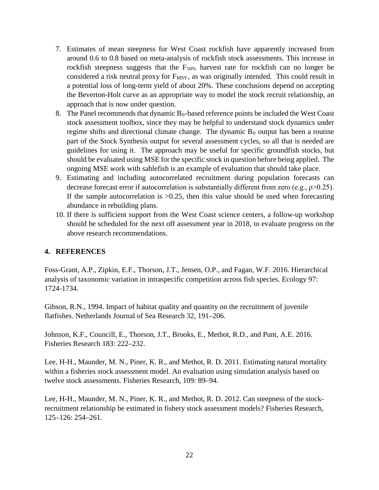- 7. Estimates of mean steepness for West Coast rockfish have apparently increased from around 0.6 to 0.8 based on meta-analysis of rockfish stock assessments. This increase in rockfish steepness suggests that the  $F_{50\%}$  harvest rate for rockfish can no longer be considered a risk neutral proxy for F<sub>MSY</sub>, as was originally intended. This could result in a potential loss of long-term yield of about 20%. These conclusions depend on accepting the Beverton-Holt curve as an appropriate way to model the stock recruit relationship, an approach that is now under question.
- 8. The Panel recommends that dynamic  $B_0$ -based reference points be included the West Coast stock assessment toolbox, since they may be helpful to understand stock dynamics under regime shifts and directional climate change. The dynamic  $B_0$  output has been a routine part of the Stock Synthesis output for several assessment cycles, so all that is needed are guidelines for using it. The approach may be useful for specific groundfish stocks, but should be evaluated using MSE for the specific stock in question before being applied. The ongoing MSE work with sablefish is an example of evaluation that should take place.
- 9. Estimating and including autocorrelated recruitment during population forecasts can decrease forecast error if autocorrelation is substantially different from zero (e.g., ρ>0.25). If the sample autocorrelation is  $>0.25$ , then this value should be used when forecasting abundance in rebuilding plans.
- 10. If there is sufficient support from the West Coast science centers, a follow-up workshop should be scheduled for the next off assessment year in 2018, to evaluate progress on the above research recommendations.

## **4. REFERENCES**

Foss-Grant, A.P., Zipkin, E.F., Thorson, J.T., Jensen, O.P., and Fagan, W.F. 2016. Hierarchical analysis of taxonomic variation in intraspecific competition across fish species. Ecology 97: 1724-1734.

Gibson, R.N., 1994. Impact of habitat quality and quantity on the recruitment of juvenile flatfishes. Netherlands Journal of Sea Research 32, 191–206.

Johnson, K.F., Councill, E., Thorson, J.T., Brooks, E., Methot, R.D., and Punt, A.E. 2016. Fisheries Research 183: 222–232.

Lee, H-H., Maunder, M. N., Piner, K. R., and Methot, R. D. 2011. Estimating natural mortality within a fisheries stock assessment model. An evaluation using simulation analysis based on twelve stock assessments. Fisheries Research, 109: 89–94.

Lee, H-H., Maunder, M. N., Piner, K. R., and Methot, R. D. 2012. Can steepness of the stockrecruitment relationship be estimated in fishery stock assessment models? Fisheries Research, 125–126: 254–261.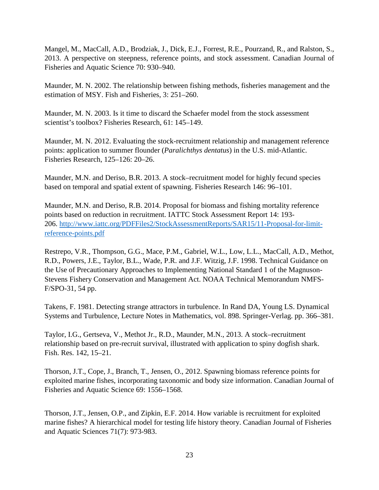Mangel, M., MacCall, A.D., Brodziak, J., Dick, E.J., Forrest, R.E., Pourzand, R., and Ralston, S., 2013. A perspective on steepness, reference points, and stock assessment. Canadian Journal of Fisheries and Aquatic Science 70: 930–940.

Maunder, M. N. 2002. The relationship between fishing methods, fisheries management and the estimation of MSY. Fish and Fisheries, 3: 251–260.

Maunder, M. N. 2003. Is it time to discard the Schaefer model from the stock assessment scientist's toolbox? Fisheries Research, 61: 145–149.

Maunder, M. N. 2012. Evaluating the stock-recruitment relationship and management reference points: application to summer flounder (*Paralichthys dentatus*) in the U.S. mid-Atlantic. Fisheries Research, 125–126: 20–26.

Maunder, M.N. and Deriso, B.R. 2013. A stock–recruitment model for highly fecund species based on temporal and spatial extent of spawning. Fisheries Research 146: 96–101.

Maunder, M.N. and Deriso, R.B. 2014. Proposal for biomass and fishing mortality reference points based on reduction in recruitment. IATTC Stock Assessment Report 14: 193- 206. [http://www.iattc.org/PDFFiles2/StockAssessmentReports/SAR15/11-Proposal-for-limit](http://www.iattc.org/PDFFiles2/StockAssessmentReports/SAR15/11-Proposal-for-limit-reference-points.pdf)[reference-points.pdf](http://www.iattc.org/PDFFiles2/StockAssessmentReports/SAR15/11-Proposal-for-limit-reference-points.pdf)

Restrepo, V.R., Thompson, G.G., Mace, P.M., Gabriel, W.L., Low, L.L., MacCall, A.D., Methot, R.D., Powers, J.E., Taylor, B.L., Wade, P.R. and J.F. Witzig, J.F. 1998. Technical Guidance on the Use of Precautionary Approaches to Implementing National Standard 1 of the Magnuson-Stevens Fishery Conservation and Management Act. NOAA Technical Memorandum NMFS-F/SPO-31, 54 pp.

Takens, F. 1981. Detecting strange attractors in turbulence. In Rand DA, Young LS. Dynamical Systems and Turbulence, Lecture Notes in Mathematics, vol. 898. Springer-Verlag. pp. 366–381.

Taylor, I.G., Gertseva, V., Methot Jr., R.D., Maunder, M.N., 2013. A stock–recruitment relationship based on pre-recruit survival, illustrated with application to spiny dogfish shark. Fish. Res. 142, 15–21.

Thorson, J.T., Cope, J., Branch, T., Jensen, O., 2012. Spawning biomass reference points for exploited marine fishes, incorporating taxonomic and body size information. Canadian Journal of Fisheries and Aquatic Science 69: 1556–1568.

Thorson, J.T., Jensen, O.P., and Zipkin, E.F. 2014. How variable is recruitment for exploited marine fishes? A hierarchical model for testing life history theory. Canadian Journal of Fisheries and Aquatic Sciences 71(7): 973-983.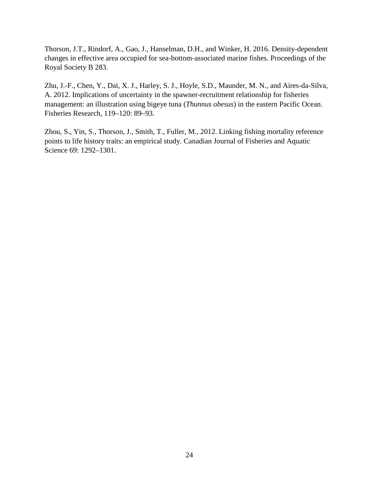Thorson, J.T., Rindorf, A., Gao, J., Hanselman, D.H., and Winker, H. 2016. Density-dependent changes in effective area occupied for sea-bottom-associated marine fishes. Proceedings of the Royal Society B 283.

Zhu, J.-F., Chen, Y., Dai, X. J., Harley, S. J., Hoyle, S.D., Maunder, M. N., and Aires-da-Silva, A. 2012. Implications of uncertainty in the spawner-recruitment relationship for fisheries management: an illustration using bigeye tuna (*Thunnus obesus*) in the eastern Pacific Ocean. Fisheries Research, 119–120: 89–93.

Zhou, S., Yin, S., Thorson, J., Smith, T., Fuller, M., 2012. Linking fishing mortality reference points to life history traits: an empirical study. Canadian Journal of Fisheries and Aquatic Science 69: 1292–1301.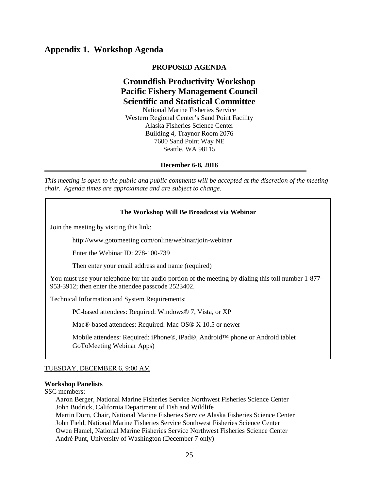# **Appendix 1. Workshop Agenda**

#### **PROPOSED AGENDA**

# **Groundfish Productivity Workshop Pacific Fishery Management Council Scientific and Statistical Committee**

National Marine Fisheries Service Western Regional Center's Sand Point Facility Alaska Fisheries Science Center Building 4, Traynor Room 2076 7600 Sand Point Way NE Seattle, WA 98115

**December 6-8, 2016**

*This meeting is open to the public and public comments will be accepted at the discretion of the meeting chair. Agenda times are approximate and are subject to change.*

#### **The Workshop Will Be Broadcast via Webinar**

Join the meeting by visiting this link:

http://www.gotomeeting.com/online/webinar/join-webinar

Enter the Webinar ID: 278-100-739

Then enter your email address and name (required)

You must use your telephone for the audio portion of the meeting by dialing this toll number 1-877- 953-3912; then enter the attendee passcode 2523402.

Technical Information and System Requirements:

PC-based attendees: Required: Windows® 7, Vista, or XP

Mac®-based attendees: Required: Mac OS® X 10.5 or newer

Mobile attendees: Required: iPhone®, iPad®, Android™ phone or Android tablet GoToMeeting Webinar Apps)

#### TUESDAY, DECEMBER 6, 9:00 AM

#### **Workshop Panelists**

SSC members:

 $\overline{a}$ 

Aaron Berger, National Marine Fisheries Service Northwest Fisheries Science Center John Budrick, California Department of Fish and Wildlife Martin Dorn, Chair, National Marine Fisheries Service Alaska Fisheries Science Center John Field, National Marine Fisheries Service Southwest Fisheries Science Center Owen Hamel, National Marine Fisheries Service Northwest Fisheries Science Center André Punt, University of Washington (December 7 only)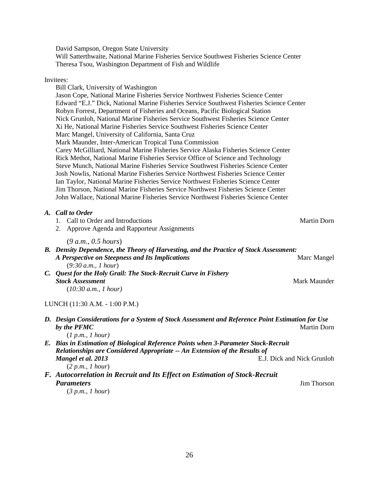David Sampson, Oregon State University

Will Satterthwaite, National Marine Fisheries Service Southwest Fisheries Science Center Theresa Tsou, Washington Department of Fish and Wildlife

## Invitees:

| Bill Clark, University of Washington                                                             |                    |
|--------------------------------------------------------------------------------------------------|--------------------|
| Jason Cope, National Marine Fisheries Service Northwest Fisheries Science Center                 |                    |
| Edward "E.J." Dick, National Marine Fisheries Service Southwest Fisheries Science Center         |                    |
| Robyn Forrest, Department of Fisheries and Oceans, Pacific Biological Station                    |                    |
| Nick Grunloh, National Marine Fisheries Service Southwest Fisheries Science Center               |                    |
| Xi He, National Marine Fisheries Service Southwest Fisheries Science Center                      |                    |
| Marc Mangel, University of California, Santa Cruz                                                |                    |
| Mark Maunder, Inter-American Tropical Tuna Commission                                            |                    |
| Carey McGilliard, National Marine Fisheries Service Alaska Fisheries Science Center              |                    |
| Rick Methot, National Marine Fisheries Service Office of Science and Technology                  |                    |
| Steve Munch, National Marine Fisheries Service Southwest Fisheries Science Center                |                    |
| Josh Nowlis, National Marine Fisheries Service Northwest Fisheries Science Center                |                    |
| Ian Taylor, National Marine Fisheries Service Northwest Fisheries Science Center                 |                    |
| Jim Thorson, National Marine Fisheries Service Northwest Fisheries Science Center                |                    |
| John Wallace, National Marine Fisheries Service Northwest Fisheries Science Center               |                    |
|                                                                                                  |                    |
| A. Call to Order                                                                                 |                    |
| 1. Call to Order and Introductions                                                               | <b>Martin Dorn</b> |
| Approve Agenda and Rapporteur Assignments<br>2.                                                  |                    |
|                                                                                                  |                    |
| (9 a.m., 0.5 hours)                                                                              |                    |
| B. Density Dependence, the Theory of Harvesting, and the Practice of Stock Assessment:           |                    |
| A Perspective on Steepness and Its Implications                                                  | Marc Mangel        |
| (9:30 a.m., 1 hour)                                                                              |                    |
| C. Quest for the Holy Grail: The Stock-Recruit Curve in Fishery                                  |                    |
| <b>Stock Assessment</b>                                                                          | Mark Maunder       |
| (10:30 a.m., 1 hour)                                                                             |                    |
|                                                                                                  |                    |
| LUNCH (11:30 A.M. - 1:00 P.M.)                                                                   |                    |
| D. Design Considerations for a System of Stock Assessment and Reference Point Estimation for Use |                    |
| by the PFMC                                                                                      | <b>Martin Dorn</b> |
| (1 p.m., 1 hour)                                                                                 |                    |

- *E. Bias in Estimation of Biological Reference Points when 3-Parameter Stock-Recruit Relationships are Considered Appropriate -- An Extension of the Results of Mangel et al. 2013* E.J. Dick and Nick Grunloh (*2 p.m., 1 hour*)
- *F. Autocorrelation in Recruit and Its Effect on Estimation of Stock-Recruit Parameters* Jim Thorson

(*3 p.m., 1 hour*)